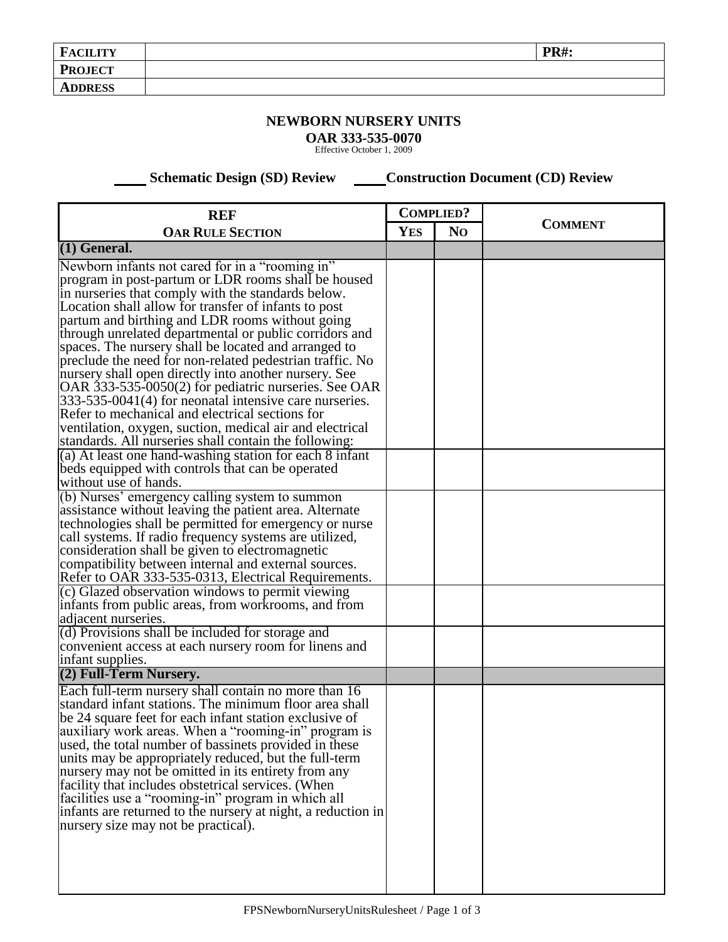| <b>FACILITY</b> | <b>PR#:</b> |
|-----------------|-------------|
| <b>PROJECT</b>  |             |
| <b>ADDRESS</b>  |             |

## **NEWBORN NURSERY UNITS**

**OAR 333-535-0070** Effective October 1, 2009

 **Schematic Design (SD) Review Construction Document (CD) Review** 

| <b>REF</b><br><b>OAR RULE SECTION</b>                                                                                                                                                                                                                                                                                                                                                                                                                                                                                                                                                                                                                                                                                                                                                                                                                                                                                                                                                                                                                                                                                                                                                                                                                                                                                                                                                                                                                         |  | <b>COMPLIED?</b> |                |
|---------------------------------------------------------------------------------------------------------------------------------------------------------------------------------------------------------------------------------------------------------------------------------------------------------------------------------------------------------------------------------------------------------------------------------------------------------------------------------------------------------------------------------------------------------------------------------------------------------------------------------------------------------------------------------------------------------------------------------------------------------------------------------------------------------------------------------------------------------------------------------------------------------------------------------------------------------------------------------------------------------------------------------------------------------------------------------------------------------------------------------------------------------------------------------------------------------------------------------------------------------------------------------------------------------------------------------------------------------------------------------------------------------------------------------------------------------------|--|------------------|----------------|
|                                                                                                                                                                                                                                                                                                                                                                                                                                                                                                                                                                                                                                                                                                                                                                                                                                                                                                                                                                                                                                                                                                                                                                                                                                                                                                                                                                                                                                                               |  | N <sub>O</sub>   | <b>COMMENT</b> |
| $(1)$ General.                                                                                                                                                                                                                                                                                                                                                                                                                                                                                                                                                                                                                                                                                                                                                                                                                                                                                                                                                                                                                                                                                                                                                                                                                                                                                                                                                                                                                                                |  |                  |                |
| Newborn infants not cared for in a "rooming in"<br>program in post-partum or LDR rooms shall be housed<br>in nurseries that comply with the standards below.<br>Location shall allow for transfer of infants to post<br>partum and birthing and LDR rooms without going<br>through unrelated departmental or public corridors and<br>spaces. The nursery shall be located and arranged to<br>preclude the need for non-related pedestrian traffic. No<br>nursery shall open directly into another nursery. See<br>OAR 333-535-0050(2) for pediatric nurseries. See OAR<br>333-535-0041(4) for neonatal intensive care nurseries.<br>Refer to mechanical and electrical sections for<br>ventilation, oxygen, suction, medical air and electrical<br>standards. All nurseries shall contain the following:<br>(a) At least one hand-washing station for each 8 infant<br>beds equipped with controls that can be operated<br>without use of hands.<br>(b) Nurses' emergency calling system to summon<br>assistance without leaving the patient area. Alternate<br>technologies shall be permitted for emergency or nurse<br>call systems. If radio frequency systems are utilized,<br>consideration shall be given to electromagnetic<br>compatibility between internal and external sources.<br>Refer to OAR 333-535-0313, Electrical Requirements.<br>(c) Glazed observation windows to permit viewing<br>infants from public areas, from workrooms, and from |  |                  |                |
| adjacent nurseries.<br>(d) Provisions shall be included for storage and<br>convenient access at each nursery room for linens and<br>infant supplies.                                                                                                                                                                                                                                                                                                                                                                                                                                                                                                                                                                                                                                                                                                                                                                                                                                                                                                                                                                                                                                                                                                                                                                                                                                                                                                          |  |                  |                |
| (2) Full-Term Nursery.                                                                                                                                                                                                                                                                                                                                                                                                                                                                                                                                                                                                                                                                                                                                                                                                                                                                                                                                                                                                                                                                                                                                                                                                                                                                                                                                                                                                                                        |  |                  |                |
| Each full-term nursery shall contain no more than 16<br>standard infant stations. The minimum floor area shall<br>be 24 square feet for each infant station exclusive of<br>auxiliary work areas. When a "rooming-in" program is<br>used, the total number of bassinets provided in these<br>units may be appropriately reduced, but the full-term<br>nursery may not be omitted in its entirety from any<br>facility that includes obstetrical services. (When<br>facilities use a "rooming-in" program in which all<br>infants are returned to the nursery at night, a reduction in<br>nursery size may not be practical).                                                                                                                                                                                                                                                                                                                                                                                                                                                                                                                                                                                                                                                                                                                                                                                                                                  |  |                  |                |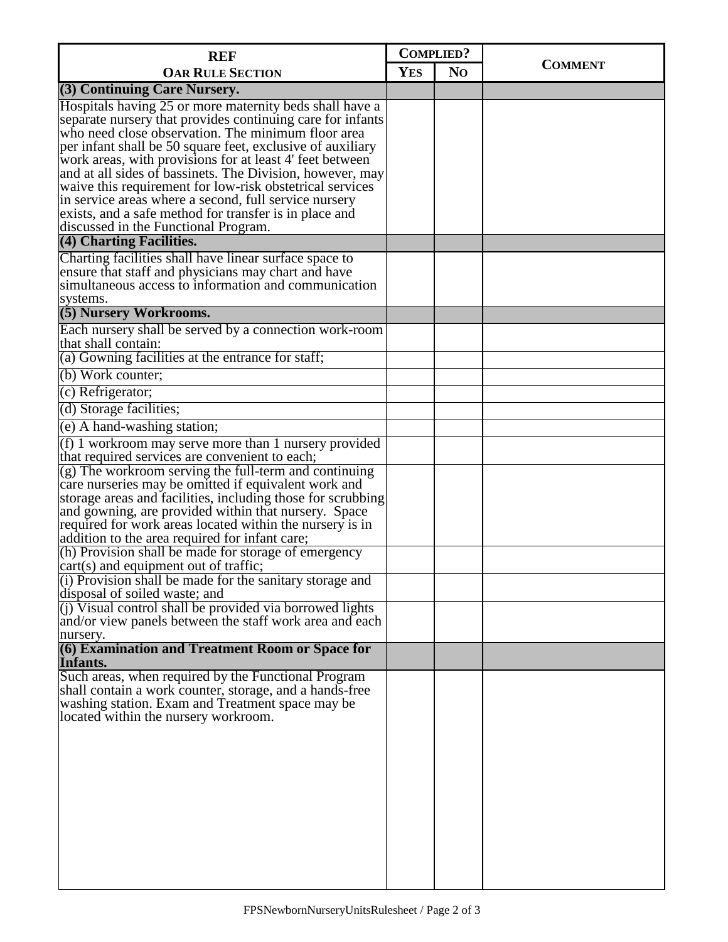| <b>REF</b><br><b>OAR RULE SECTION</b>                                                                                  |  | <b>COMPLIED?</b> |                |
|------------------------------------------------------------------------------------------------------------------------|--|------------------|----------------|
|                                                                                                                        |  | N <sub>O</sub>   | <b>COMMENT</b> |
| (3) Continuing Care Nursery.                                                                                           |  |                  |                |
| Hospitals having 25 or more maternity beds shall have a                                                                |  |                  |                |
| separate nursery that provides continuing care for infants                                                             |  |                  |                |
| who need close observation. The minimum floor area                                                                     |  |                  |                |
| per infant shall be 50 square feet, exclusive of auxiliary<br>work areas, with provisions for at least 4' feet between |  |                  |                |
| and at all sides of bassinets. The Division, however, may                                                              |  |                  |                |
| waive this requirement for low-risk obstetrical services                                                               |  |                  |                |
| in service areas where a second, full service nursery                                                                  |  |                  |                |
| exists, and a safe method for transfer is in place and                                                                 |  |                  |                |
| discussed in the Functional Program.<br>(4) Charting Facilities.                                                       |  |                  |                |
|                                                                                                                        |  |                  |                |
| Charting facilities shall have linear surface space to<br>ensure that staff and physicians may chart and have          |  |                  |                |
| simultaneous access to information and communication                                                                   |  |                  |                |
| systems.                                                                                                               |  |                  |                |
| (5) Nursery Workrooms.                                                                                                 |  |                  |                |
| Each nursery shall be served by a connection work-room                                                                 |  |                  |                |
| that shall contain:                                                                                                    |  |                  |                |
| (a) Gowning facilities at the entrance for staff;                                                                      |  |                  |                |
| (b) Work counter;                                                                                                      |  |                  |                |
| (c) Refrigerator;                                                                                                      |  |                  |                |
| (d) Storage facilities;                                                                                                |  |                  |                |
| (e) A hand-washing station;                                                                                            |  |                  |                |
| $(f)$ 1 workroom may serve more than 1 nursery provided                                                                |  |                  |                |
| that required services are convenient to each;                                                                         |  |                  |                |
| (g) The workroom serving the full-term and continuing                                                                  |  |                  |                |
| care nurseries may be omitted if equivalent work and                                                                   |  |                  |                |
| storage areas and facilities, including those for scrubbing<br>and gowning, are provided within that nursery. Space    |  |                  |                |
| required for work areas located within the nursery is in                                                               |  |                  |                |
| addition to the area required for infant care;                                                                         |  |                  |                |
| (h) Provision shall be made for storage of emergency                                                                   |  |                  |                |
| cart(s) and equipment out of traffic;                                                                                  |  |                  |                |
| $(1)$ Provision shall be made for the sanitary storage and<br>disposal of soiled waste; and                            |  |                  |                |
| (j) Visual control shall be provided via borrowed lights                                                               |  |                  |                |
| and/or view panels between the staff work area and each<br>nursery.                                                    |  |                  |                |
| (6) Examination and Treatment Room or Space for                                                                        |  |                  |                |
| Infants.                                                                                                               |  |                  |                |
| Such areas, when required by the Functional Program                                                                    |  |                  |                |
| shall contain a work counter, storage, and a hands-free                                                                |  |                  |                |
| washing station. Exam and Treatment space may be                                                                       |  |                  |                |
| located within the nursery workroom.                                                                                   |  |                  |                |
|                                                                                                                        |  |                  |                |
|                                                                                                                        |  |                  |                |
|                                                                                                                        |  |                  |                |
|                                                                                                                        |  |                  |                |
|                                                                                                                        |  |                  |                |
|                                                                                                                        |  |                  |                |
|                                                                                                                        |  |                  |                |
|                                                                                                                        |  |                  |                |
|                                                                                                                        |  |                  |                |
|                                                                                                                        |  |                  |                |